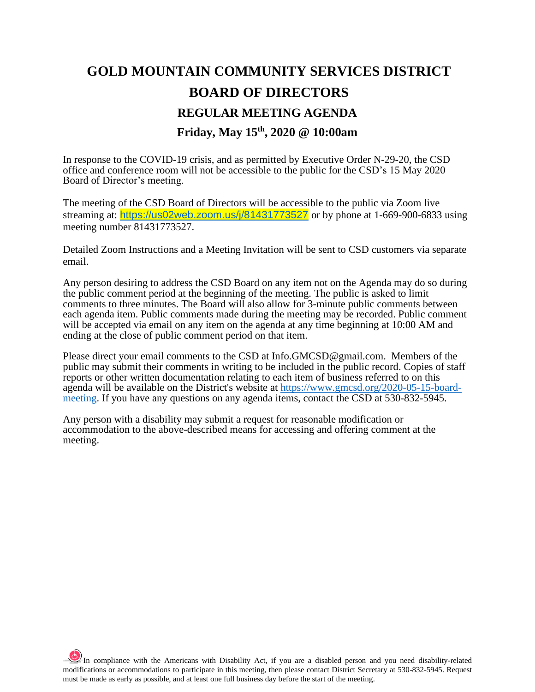# **GOLD MOUNTAIN COMMUNITY SERVICES DISTRICT BOARD OF DIRECTORS REGULAR MEETING AGENDA Friday, May 15th, 2020 @ 10:00am**

In response to the COVID-19 crisis, and as permitted by Executive Order N-29-20, the CSD office and conference room will not be accessible to the public for the CSD's 15 May 2020 Board of Director's meeting.

The meeting of the CSD Board of Directors will be accessible to the public via Zoom live streaming at: <https://us02web.zoom.us/j/81431773527> or by phone at 1-669-900-6833 using meeting number 81431773527.

Detailed Zoom Instructions and a Meeting Invitation will be sent to CSD customers via separate email.

Any person desiring to address the CSD Board on any item not on the Agenda may do so during the public comment period at the beginning of the meeting. The public is asked to limit comments to three minutes. The Board will also allow for 3-minute public comments between each agenda item. Public comments made during the meeting may be recorded. Public comment will be accepted via email on any item on the agenda at any time beginning at 10:00 AM and ending at the close of public comment period on that item.

Please direct your email comments to the CSD at [Info.GMCSD@gmail.com.](mailto:Info.GMCSD@gmail.com) Members of the public may submit their comments in writing to be included in the public record. Copies of staff reports or other written documentation relating to each item of business referred to on this agenda will be available on the District's website at [https://www.gmcsd.org/2020-05-15-board](https://www.gmcsd.org/2020-05-15-board-meeting)[meeting.](https://www.gmcsd.org/2020-05-15-board-meeting) If you have any questions on any agenda items, contact the CSD at 530-832-5945.

Any person with a disability may submit a request for reasonable modification or accommodation to the above-described means for accessing and offering comment at the meeting.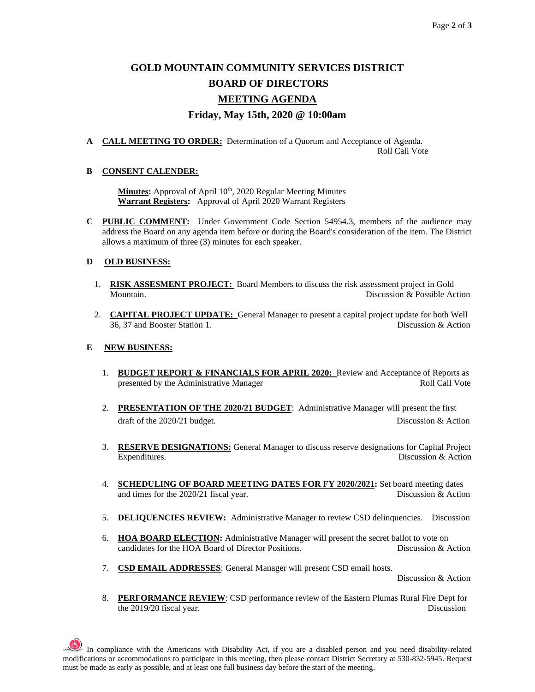## **GOLD MOUNTAIN COMMUNITY SERVICES DISTRICT BOARD OF DIRECTORS**

### **MEETING AGENDA**

#### **Friday, May 15th, 2020 @ 10:00am**

**A CALL MEETING TO ORDER:** Determination of a Quorum and Acceptance of Agenda. Roll Call Vote

#### **B CONSENT CALENDER:**

Minutes: Approval of April 10<sup>th</sup>, 2020 Regular Meeting Minutes **Warrant Registers:** Approval of April 2020 Warrant Registers

**C PUBLIC COMMENT:** Under Government Code Section 54954.3, members of the audience may address the Board on any agenda item before or during the Board's consideration of the item. The District allows a maximum of three (3) minutes for each speaker.

#### **D OLD BUSINESS:**

- 1. **RISK ASSESMENT PROJECT:** Board Members to discuss the risk assessment project in Gold Mountain. Discussion & Possible Action
- 2. **CAPITAL PROJECT UPDATE:** General Manager to present a capital project update for both Well 36, 37 and Booster Station 1. Discussion & Action

#### **E NEW BUSINESS:**

- 1. **BUDGET REPORT & FINANCIALS FOR APRIL 2020:** Review and Acceptance of Reports as presented by the Administrative Manager Roll Call Vote
- 2. **PRESENTATION OF THE 2020/21 BUDGET**: Administrative Manager will present the first draft of the 2020/21 budget. Discussion & Action
- 3. **RESERVE DESIGNATIONS:** General Manager to discuss reserve designations for Capital Project Expenditures. Discussion & Action
- 4. **SCHEDULING OF BOARD MEETING DATES FOR FY 2020/2021:** Set board meeting dates and times for the 2020/21 fiscal year. Discussion & Action
- 5. **DELIQUENCIES REVIEW:** Administrative Manager to review CSD delinquencies. Discussion
- 6. **HOA BOARD ELECTION:** Administrative Manager will present the secret ballot to vote on candidates for the HOA Board of Director Positions. Discussion & Action
- 7. **CSD EMAIL ADDRESSES**: General Manager will present CSD email hosts.

Discussion & Action

8. **PERFORMANCE REVIEW**: CSD performance review of the Eastern Plumas Rural Fire Dept for the 2019/20 fiscal year. Discussion

 $\frac{1}{2}$  In compliance with the Americans with Disability Act, if you are a disabled person and you need disability-related modifications or accommodations to participate in this meeting, then please contact District Secretary at 530-832-5945. Request must be made as early as possible, and at least one full business day before the start of the meeting.